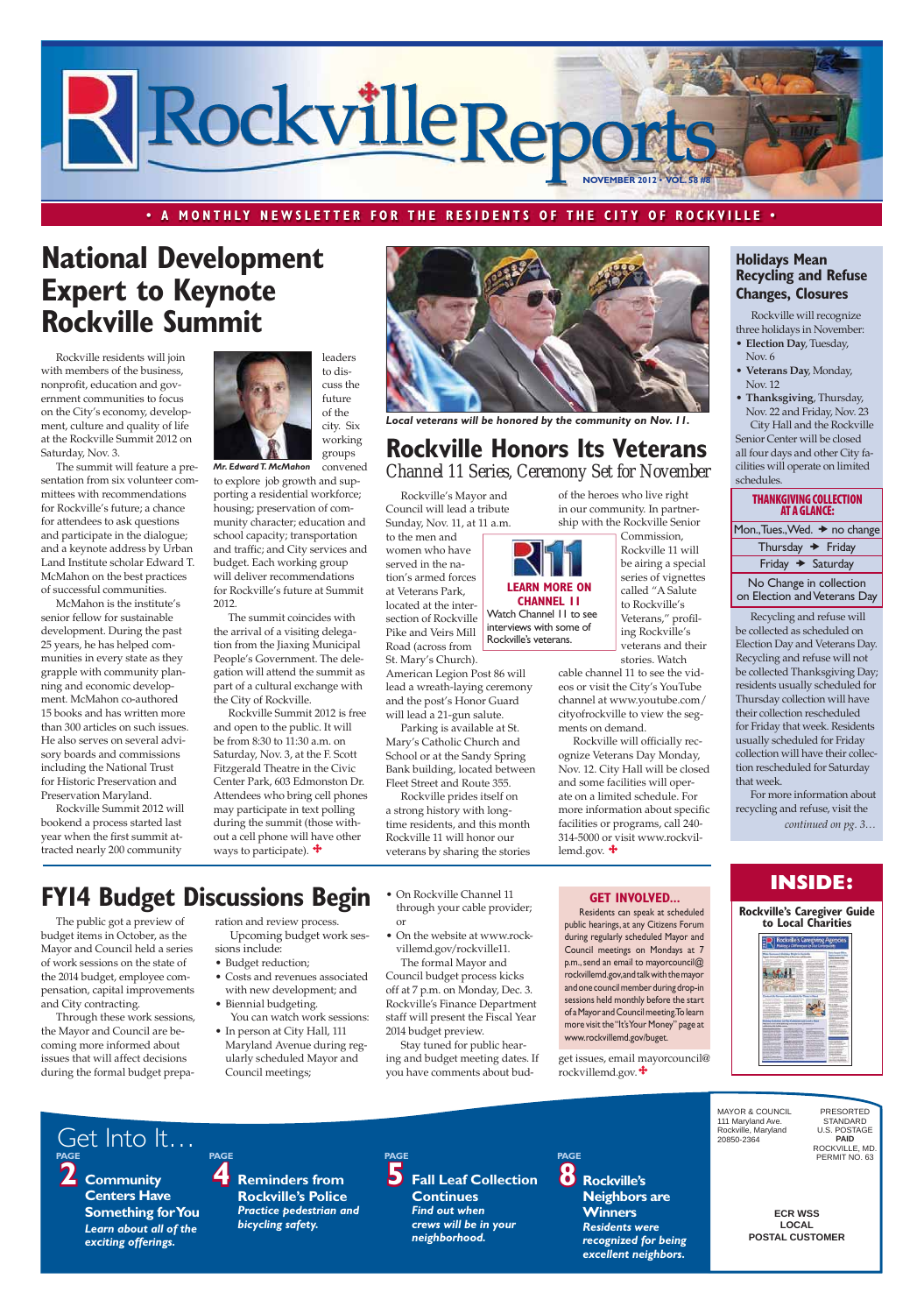**ECR WSS LOCAL POSTAL CUSTOMER** MAYOR & COUNCIL 111 Maryland Ave. Rockville, Maryland 20850-2364 PRESORTED STANDARD U.S. POSTAGE **PAID** ROCKVILLE, MD. PERMIT NO. 63 **2 Community Centers Have Something for You** *Learn about all of the exciting offerings.* **4 Reminders from Rockville's Police**  *Practice pedestrian and bicycling safety.* PAGE<br>**5** Fall Leaf Collection **Continues**  *Find out when crews will be in your neighborhood.* **PAGE 8 Rockville's Neighbors are Winners** *Residents were recognized for being excellent neighbors.* Get Into It… **PAGE PAGE PAGE**



#### **· A MONTHLY NEWSLETTER FOR THE RESIDENTS OF THE CITY OF ROCKVILLE ·**

# **National Development Expert to Keynote Rockville Summit**

Rockville residents will join with members of the business, nonprofit, education and government communities to focus on the City's economy, development, culture and quality of life at the Rockville Summit 2012 on Saturday, Nov. 3.

The summit will feature a presentation from six volunteer committees with recommendations for Rockville's future; a chance for attendees to ask questions and participate in the dialogue; and a keynote address by Urban Land Institute scholar Edward T. McMahon on the best practices of successful communities.

# **Rockville Honors Its Veterans** *Channel 11 Series, Ceremony Set for November*

McMahon is the institute's senior fellow for sustainable development. During the past 25 years, he has helped communities in every state as they grapple with community planning and economic development. McMahon co-authored 15 books and has written more than 300 articles on such issues. He also serves on several advisory boards and commissions including the National Trust for Historic Preservation and Preservation Maryland.

Rockville will officially recognize Veterans Day Monday, Nov. 12. City Hall will be closed and some facilities will operate on a limited schedule. For more information about specific facilities or programs, call 240- 314-5000 or visit www.rockvillemd.gov.  $\ddot{\mathbf{\cdot}}$ 

# **Holidays Mean Recycling and Refuse Changes, Closures**

Rockville Summit 2012 will bookend a process started last year when the first summit attracted nearly 200 community

**LEARN MORE ON CHANNEL 11** Watch Channel 11 to see interviews with some of Rockville's veterans.

#### **THANKGIVING COLLECTION AT A GLANCE:**

Mon., Tues., Wed.  $\rightarrow$  no change

| Thursday $\rightarrow$ Friday |  |  |
|-------------------------------|--|--|
| Friday + Saturday             |  |  |

No Change in collection on Election and Veterans Day

Rockville's Mayor and Council will lead a tribute Sunday, Nov. 11, at 11 a.m.

Rockville Summit 2012 is free and open to the public. It will be from 8:30 to 11:30 a.m. on Saturday, Nov. 3, at the F. Scott Fitzgerald Theatre in the Civic Center Park, 603 Edmonston Dr. Attendees who bring cell phones may participate in text polling during the summit (those without a cell phone will have other ways to participate).  $\mathbf{\hat{+}}$ 

to the men and women who have served in the nation's armed forces at Veterans Park, located at the intersection of Rockville Pike and Veirs Mill Road (across from

St. Mary's Church). American Legion Post 86 will lead a wreath-laying ceremony and the post's Honor Guard will lead a 21-gun salute.

Parking is available at St. Mary's Catholic Church and School or at the Sandy Spring Bank building, located between Fleet Street and Route 355.

Rockville prides itself on a strong history with longtime residents, and this month Rockville 11 will honor our veterans by sharing the stories

• In person at City Hall, 111 Maryland Avenue during regularly scheduled Mayor and Council meetings;

- Budget reduction;
- Costs and revenues associated with new development; and
- Biennial budgeting. You can watch work sessions:
- On Rockville Channel 11 through your cable provider;
- On the website at www.rockvillemd.gov/rockville11. The formal Mayor and

of the heroes who live right in our community. In partnership with the Rockville Senior

> Commission, Rockville 11 will be airing a special series of vignettes called "A Salute to Rockville's Veterans," profiling Rockville's veterans and their

- **Election Day, Tuesday,** Nov. 6
- Veterans Day, Monday, Nov. 12
- **Thanksgiving**, Thursday, Nov. 22 and Friday, Nov. 23 City Hall and the Rockville

stories. Watch cable channel 11 to see the videos or visit the City's YouTube channel at www.youtube.com/ cityofrockville to view the segments on demand.

Residents can speak at scheduled public hearings, at any Citizens Forum during regularly scheduled Mayor and Council meetings on Mondays at 7 p.m., send an email to mayorcouncil@ rockvillemd.gov, and talk with the mayor and one council member during drop-in sessions held monthly before the start of a Mayor and Council meeting. To learn .<br>isit the "It's Your Money"



The summit coincides with the arrival of a visiting delegation from the Jiaxing Municipal People's Government. The delegation will attend the summit as part of a cultural exchange with the City of Rockville.

The public got a preview of budget items in October, as the Mayor and Council held a series of work sessions on the state of the 2014 budget, employee compensation, capital improvements and City contracting.

Through these work sessions,

the Mayor and Council are becoming more informed about issues that will affect decisions during the formal budget preparation and review process. Upcoming budget work sessions include:

convened to explore job growth and supporting a residential workforce; housing; preservation of community character; education and school capacity; transportation and traffic; and City services and budget. Each working group will deliver recommendations for Rockville's future at Summit 2012. *Mr. Edward T. McMahon*

or

Council budget process kicks off at 7 p.m. on Monday, Dec. 3. Rockville's Finance Department staff will present the Fiscal Year 2014 budget preview. Stay tuned for public hearing and budget meeting dates. If you have comments about bud-

### **GET INVOLVED...**

get issues, email mayorcouncil@ rockvillemd.gov.



 Rockville will recognize three holidays in November:

Senior Center will be closed all four days and other City facilities will operate on limited schedules.

Recycling and refuse will be collected as scheduled on Election Day and Veterans Day. Recycling and refuse will not be collected Thanksgiving Day; residents usually scheduled for Thursday collection will have their collection rescheduled for Friday that week. Residents usually scheduled for Friday collection will have their collection rescheduled for Saturday that week.

# **INSIDE:**

For more information about recycling and refuse, visit the *continued on pg. 3…*

# **FYI4 Budget Discussions Begin**





*Local veterans will be honored by the community on Nov. 11.*

www.rockvillemd.gov/buget.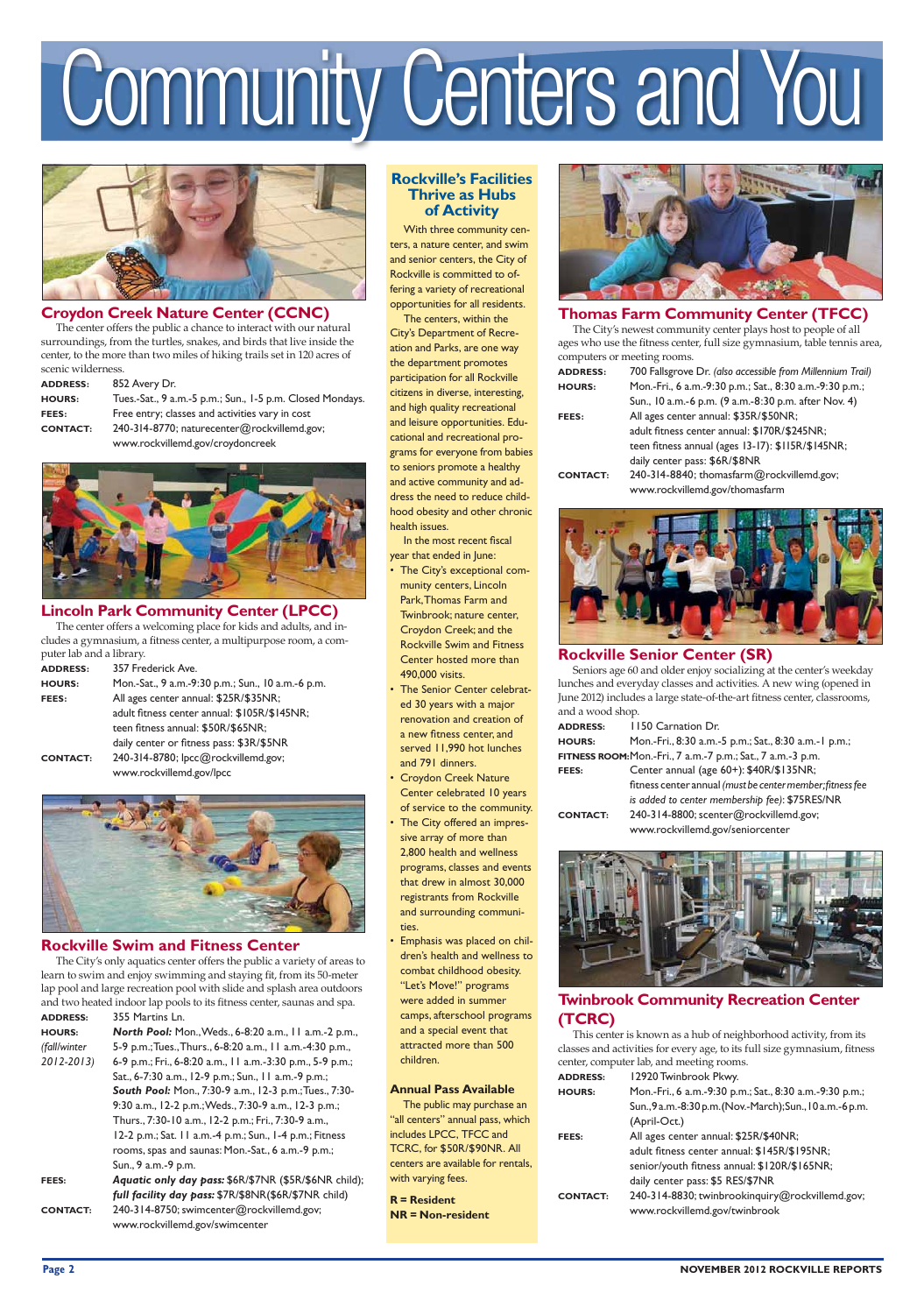**0AGE NOVEMBER 2012 ROCKVILLE REPORTS**

# **Community Centers and You**



# **Croydon Creek Nature Center (CCNC)**

The center offers the public a chance to interact with our natural surroundings, from the turtles, snakes, and birds that live inside the center, to the more than two miles of hiking trails set in 120 acres of scenic wilderness.

> -Sat., 9 a.m.-5 p.m.; Sun., 1-5 p.m. Closed Mondays. entry; classes and activities vary in cost I4-8770; naturecenter@rockvillemd.gov; www.rockvillemd.gov/croydoncreek



| <b>ADDRESS:</b> | 852 Avery Dr.    |
|-----------------|------------------|
| <b>HOURS:</b>   | Tues.-Sat., 9 a. |
| FEES:           | Free entry; cla  |
| <b>CONTACT:</b> | 240-314-8770:    |
|                 |                  |

# **Lincoln Park Community Center (LPCC)**

The center offers a welcoming place for kids and adults, and includes a gymnasium, a fitness center, a multipurpose room, a computer lab and a library.

| <b>ADDRESS:</b> | 357 Frederick Ave.                                |
|-----------------|---------------------------------------------------|
| <b>HOURS:</b>   | Mon.-Sat., 9 a.m.-9:30 p.m.; Sun., 10 a.m.-6 p.m. |
| FEES:           | All ages center annual: \$25R/\$35NR;             |
|                 | adult fitness center annual: \$105R/\$145NR;      |
|                 | teen fitness annual: \$50R/\$65NR;                |
|                 | daily center or fitness pass: \$3R/\$5NR          |
| <b>CONTACT:</b> | 240-314-8780; lpcc@rockvillemd.gov;               |
|                 | www.rockvillemd.gov/lpcc                          |



# **Rockville Swim and Fitness Center**

The City's only aquatics center offers the public a variety of areas to learn to swim and enjoy swimming and staying fit, from its 50-meter lap pool and large recreation pool with slide and splash area outdoors and two heated indoor lap pools to its fitness center, saunas and spa. **ADDRESS:** 355 Martins Ln.

**HOURS:** *North Pool:* Mon., Weds., 6-8:20 a.m., 11 a.m.-2 p.m., *(fall/winter* 5-9 p.m.; Tues., Thurs., 6-8:20 a.m., 11 a.m.-4:30 p.m., *2012-2013)* 6-9 p.m.; Fri., 6-8:20 a.m., 11 a.m.-3:30 p.m., 5-9 p.m.; Sat., 6-7:30 a.m., 12-9 p.m.; Sun., 11 a.m.-9 p.m.; *South Pool:* Mon., 7:30-9 a.m., 12-3 p.m.; Tues., 7:30- 9:30 a.m., 12-2 p.m.; Weds., 7:30-9 a.m., 12-3 p.m.; Thurs., 7:30-10 a.m., 12-2 p.m.; Fri., 7:30-9 a.m., 12-2 p.m.; Sat. 11 a.m.-4 p.m.; Sun., 1-4 p.m.; Fitness rooms, spas and saunas: Mon.-Sat., 6 a.m.-9 p.m.; Sun., 9 a.m.-9 p.m. **FEES:** *Aquatic only day pass:* \$6R/\$7NR (\$5R/\$6NR child);

- *full facility day pass:* \$7R/\$8NR(\$6R/\$7NR child)
- **CONTACT:** 240-314-8750; swimcenter@rockvillemd.gov; www.rockvillemd.gov/swimcenter

# **Thomas Farm Community Center (TFCC)**

The City's newest community center plays host to people of all ages who use the fitness center, full size gymnasium, table tennis area, computers or meeting rooms.

| <b>ADDRESS:</b> | 700 Fallsgrove Dr. (also accessible from Millennium Trail) |
|-----------------|------------------------------------------------------------|
| <b>HOURS:</b>   | Mon.-Fri., 6 a.m.-9:30 p.m.; Sat., 8:30 a.m.-9:30 p.m.;    |
|                 | Sun., 10 a.m.-6 p.m. (9 a.m.-8:30 p.m. after Nov. 4)       |
| FEES:           | All ages center annual: \$35R/\$50NR;                      |
|                 | adult fitness center annual: \$170R/\$245NR;               |
|                 | teen fitness annual (ages 13-17): \$115R/\$145NR;          |
|                 | daily center pass: \$6R/\$8NR                              |
| <b>CONTACT:</b> | 240-314-8840; thomasfarm@rockvillemd.gov;                  |
|                 | www.rockvillemd.gov/thomasfarm                             |



# **Rockville Senior Center (SR)**

- The City's exceptional community centers, Lincoln Park, Thomas Farm and Twinbrook; nature center, Croydon Creek; and the Rockville Swim and Fitness Center hosted more than 490,000 visits.
- The Senior Center celebrated 30 years with a major renovation and creation of a new fitness center, and served 11,990 hot lunches and 791 dinners.
- Croydon Creek Nature Center celebrated 10 years of service to the community.
- The City offered an impressive array of more than 2,800 health and wellness programs, classes and events that drew in almost 30,000 registrants from Rockville and surrounding communities.
- Emphasis was placed on children's health and wellness to combat childhood obesity. "Let's Move!" programs were added in summer camps, afterschool programs



Seniors age 60 and older enjoy socializing at the center's weekday lunches and everyday classes and activities. A new wing (opened in June 2012) includes a large state-of-the-art fitness center, classrooms, and a wood shop.

**ADDRESS:** 1150 Carnation Dr.

| <b>HOURS:</b>                                               | Mon.-Fri., 8:30 a.m.-5 p.m.; Sat., 8:30 a.m.-1 p.m.;      |  |  |
|-------------------------------------------------------------|-----------------------------------------------------------|--|--|
| FITNESS ROOM: Mon.-Fri., 7 a.m.-7 p.m.; Sat., 7 a.m.-3 p.m. |                                                           |  |  |
| <b>FEES:</b>                                                | Center annual (age 60+): \$40R/\$135NR;                   |  |  |
|                                                             | fitness center annual (must be center member; fitness fee |  |  |
|                                                             | is added to center membership fee): \$75RES/NR            |  |  |
| <b>CONTACT:</b>                                             | 240-314-8800; scenter@rockvillemd.gov;                    |  |  |
|                                                             |                                                           |  |  |

www.rockvillemd.gov/seniorcenter



**Twinbrook Community Recreation Center (TCRC)**

This center is known as a hub of neighborhood activity, from its classes and activities for every age, to its full size gymnasium, fitness center, computer lab, and meeting rooms.

**ADDRESS:** 12920 Twinbrook Pkwy.

**HOURS:** Mon.-Fri., 6 a.m.-9:30 p.m.; Sat., 8:30 a.m.-9:30 p.m.; Sun., 9 a.m.-8:30 p.m. (Nov.-March); Sun., 10 a.m.-6 p.m. (April-Oct.)

**FEES:** All ages center annual: \$25R/\$40NR; adult fitness center annual: \$145R/\$195NR; senior/youth fitness annual: \$120R/\$165NR; daily center pass: \$5 RES/\$7NR

**CONTACT:** 240-314-8830; twinbrookinquiry@rockvillemd.gov; www.rockvillemd.gov/twinbrook

# **Rockville's Facilities Thrive as Hubs of Activity**

With three community centers, a nature center, and swim and senior centers, the City of Rockville is committed to offering a variety of recreational opportunities for all residents.

The centers, within the City's Department of Recreation and Parks, are one way the department promotes participation for all Rockville citizens in diverse, interesting, and high quality recreational and leisure opportunities. Educational and recreational programs for everyone from babies to seniors promote a healthy and active community and address the need to reduce childhood obesity and other chronic health issues.

In the most recent fiscal year that ended in June:

and a special event that attracted more than 500 children.

#### **Annual Pass Available**

 The public may purchase an "all centers" annual pass, which includes LPCC, TFCC and TCRC, for \$50R/\$90NR. All centers are available for rentals, with varying fees.

**R = Resident NR = Non-resident**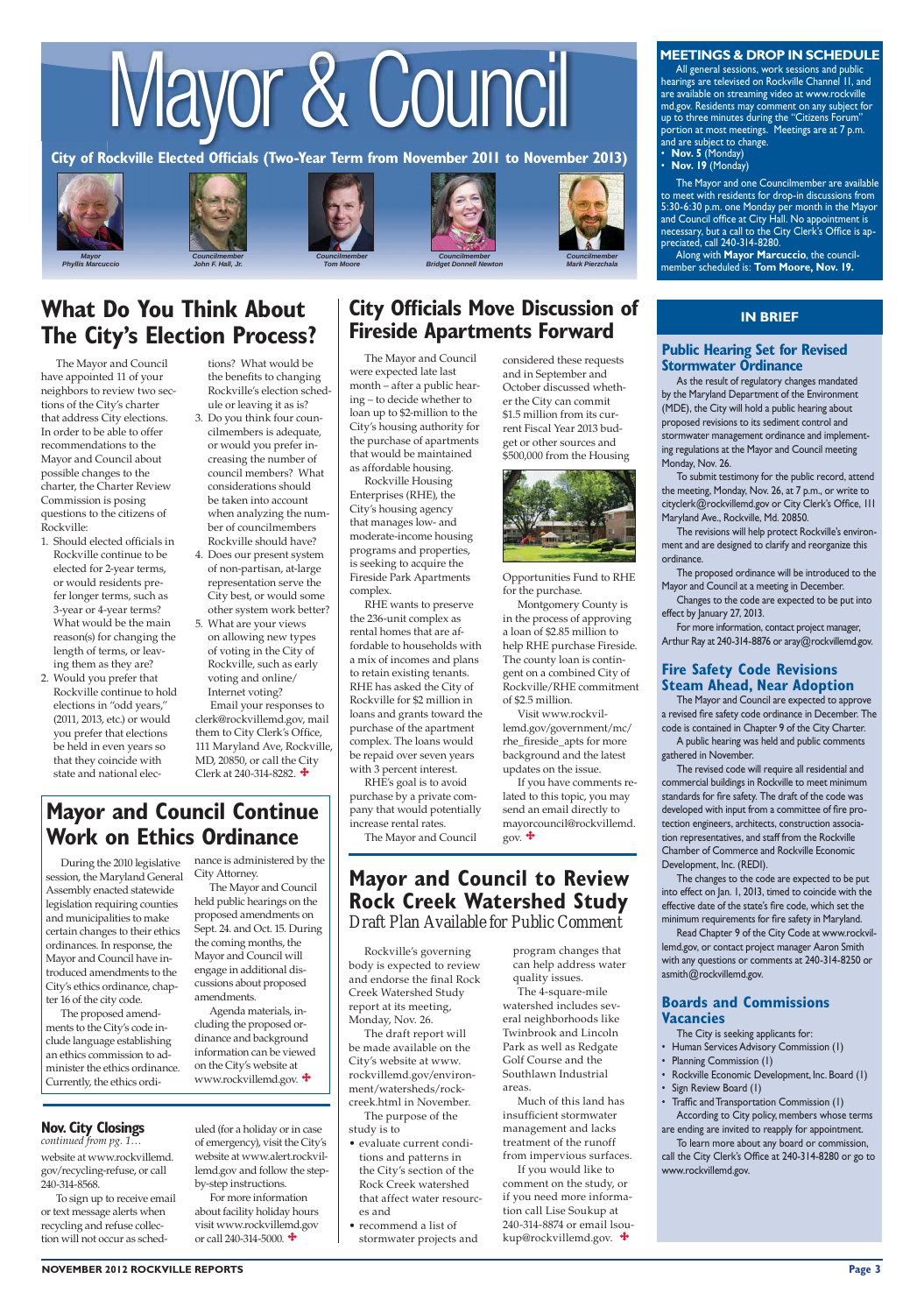# Mayor & Council

City of Rockville Elected Officials (Two-Year Term from November 2011 to November 2013)



*Phyllis Marcuccio*









*Bridget Donnell Newton* 

All general sessions, work sessions and public hearings are televised on Rockville Channel 11, and are available on streaming video at www.rockville md.gov. Residents may comment on any subject for up to three minutes during the "Citizens Forum" portion at most meetings. Meetings are at 7 p.m. and are subject to change.

**Nov. 5** (Monday)

**Nov. 19** (Monday)



*Mark Pierzchala*

#### **MEETINGS & DROP IN SCHEDULE**

Along with **Mayor Marcuccio**, the councilmember scheduled is: Tom Moore, Nov. 19.

The Mayor and one Councilmember are available to meet with residents for drop-in discussions from 5:30-6:30 p.m. one Monday per month in the Mayor and Council office at City Hall. No appointment is necessary, but a call to the City Clerk's Office is appreciated, call 240-314-8280.

For more information, contact project manager, Arthur Ray at 240-314-8876 or aray@rockvillemd.gov.

### **Fire Safety Code Revisions Steam Ahead, Near Adoption**

## **IN BRIEF**

# **Public Hearing Set for Revised Stormwater Ordinance**

As the result of regulatory changes mandated by the Maryland Department of the Environment (MDE), the City will hold a public hearing about proposed revisions to its sediment control and stormwater management ordinance and implementing regulations at the Mayor and Council meeting Monday, Nov. 26.

Read Chapter 9 of the City Code at www.rockvillemd.gov, or contact project manager Aaron Smith with any questions or comments at 240-314-8250 or asmith@rockvillemd.gov.

### **Boards and Commissions Vacancies**

# **Mayor and Council Continue Work on Ethics Ordinance**

To submit testimony for the public record, attend the meeting, Monday, Nov. 26, at 7 p.m., or write to cityclerk@rockvillemd.gov or City Clerk's Office, 111 Maryland Ave., Rockville, Md. 20850.

The revisions will help protect Rockville's environment and are designed to clarify and reorganize this ordinance.

- Human Services Advisory Commission (1)
- Planning Commission (1)
- Rockville Economic Development, Inc. Board (1)
- Sign Review Board (1)
- Traffic and Transportation Commission (1) According to City policy, members whose terms are ending are invited to reapply for appointment.

The proposed ordinance will be introduced to the Mayor and Council at a meeting in December.

Changes to the code are expected to be put into effect by January 27, 2013.

The Mayor and Council are expected to approve a revised fire safety code ordinance in December. The code is contained in Chapter 9 of the City Charter.

A public hearing was held and public comments gathered in November.

The revised code will require all residential and commercial buildings in Rockville to meet minimum standards for fire safety. The draft of the code was developed with input from a committee of fire protection engineers, architects, construction association representatives, and staff from the Rockville Chamber of Commerce and Rockville Economic Development, Inc. (REDI).

Email your responses to clerk@rockvillemd.gov, mail them to City Clerk's Office, 111 Maryland Ave, Rockville, MD, 20850, or call the City Clerk at 240-314-8282.  $\triangleq$ 

> The changes to the code are expected to be put into effect on Jan. 1, 2013, timed to coincide with the effective date of the state's fire code, which set the minimum requirements for fire safety in Maryland.

The City is seeking applicants for:

To learn more about any board or commission, call the City Clerk's Office at 240-314-8280 or go to www.rockvillemd.gov.

#### **NOVEMBER 2012 ROCKVILLE REPORTS Page 3**

The Mayor and Council have appointed 11 of your neighbors to review two sections of the City's charter that address City elections. In order to be able to offer recommendations to the Mayor and Council about possible changes to the charter, the Charter Review Commission is posing questions to the citizens of Rockville:

# **Mayor and Council to Review Rock Creek Watershed Study** *Draft Plan Available for Public Comment*

 $g_{\text{OV}}$ .  $\bigoplus$ 

- 1. Should elected officials in Rockville continue to be elected for 2-year terms, or would residents prefer longer terms, such as 3-year or 4-year terms? What would be the main reason(s) for changing the length of terms, or leaving them as they are?
- 2. Would you prefer that Rockville continue to hold elections in "odd years," (2011, 2013, etc.) or would you prefer that elections be held in even years so that they coincide with state and national elec-

• evaluate current conditions and patterns in the City's section of the Rock Creek watershed that affect water resources and

 $\bullet$  recommend a list of stormwater projects and

Much of this land has insufficient stormwater management and lacks treatment of the runoff from impervious surfaces. If you would like to comment on the study, or if you need more information call Lise Soukup at 240-314-8874 or email lsoukup@rockvillemd.gov.  $\ddot{\mathbf{\cdot}}$ 

During the 2010 legislative session, the Maryland General Assembly enacted statewide legislation requiring counties and municipalities to make certain changes to their ethics ordinances. In response, the Mayor and Council have introduced amendments to the City's ethics ordinance, chapter 16 of the city code.

> For more information about facility holiday hours visit www.rockvillemd.gov or call 240-314-5000.  $\bigoplus$

The proposed amend-

ments to the City's code include language establishing an ethics commission to administer the ethics ordinance. Currently, the ethics ordi-

tions? What would be the benefits to changing Rockville's election schedule or leaving it as is?

- 3. Do you think four councilmembers is adequate, or would you prefer increasing the number of council members? What considerations should be taken into account when analyzing the number of councilmembers Rockville should have?
- 4. Does our present system of non-partisan, at-large representation serve the
- 5. What are your views on allowing new types of voting in the City of Rockville, such as early voting and online/ Internet voting?

# **City Officials Move Discussion of Fireside Apartments Forward**

- City best, or would some other system work better?
- 

nance is administered by the

City Attorney.

The Mayor and Council held public hearings on the proposed amendments on Sept. 24. and Oct. 15. During the coming months, the Mayor and Council will engage in additional discussions about proposed

amendments.

Agenda materials, in-

# **Nov. City Closings**

cluding the proposed ordinance and background information can be viewed on the City's website at www.rockvillemd.gov.

The Mayor and Council were expected late last month – after a public hearing – to decide whether to loan up to \$2-million to the City's housing authority for the purchase of apartments that would be maintained as affordable housing.

Rockville Housing Enterprises (RHE), the City's housing agency that manages low- and moderate-income housing programs and properties, is seeking to acquire the Fireside Park Apartments complex.

RHE wants to preserve the 236-unit complex as rental homes that are affordable to households with a mix of incomes and plans to retain existing tenants. RHE has asked the City of Rockville for \$2 million in loans and grants toward the purchase of the apartment complex. The loans would be repaid over seven years with 3 percent interest.

RHE's goal is to avoid purchase by a private company that would potentially increase rental rates.

The Mayor and Council

considered these requests and in September and October discussed whether the City can commit \$1.5 million from its current Fiscal Year 2013 budget or other sources and \$500,000 from the Housing

Opportunities Fund to RHE

for the purchase.

Montgomery County is in the process of approving a loan of \$2.85 million to help RHE purchase Fireside. The county loan is contingent on a combined City of Rockville/RHE commitment

of \$2.5 million.

Visit www.rockvillemd.gov/government/mc/ rhe\_fireside\_apts for more background and the latest updates on the issue.

If you have comments related to this topic, you may send an email directly to mayorcouncil@rockvillemd.

# **What Do You Think About The City's Election Process?**

*continued from pg. 1…*

website at www.rockvillemd. gov/recycling-refuse, or call 240-314-8568.

To sign up to receive email or text message alerts when recycling and refuse collection will not occur as sched-

 Rockville's governing body is expected to review and endorse the final Rock Creek Watershed Study report at its meeting, Monday, Nov. 26. The draft report will be made available on the City's website at www. rockvillemd.gov/environment/watersheds/rockcreek.html in November. The purpose of the study is to

program changes that can help address water quality issues.

The 4-square-mile watershed includes several neighborhoods like

Twinbrook and Lincoln Park as well as Redgate Golf Course and the Southlawn Industrial areas.

uled (for a holiday or in case of emergency), visit the City's website at www.alert.rockvillemd.gov and follow the stepby-step instructions.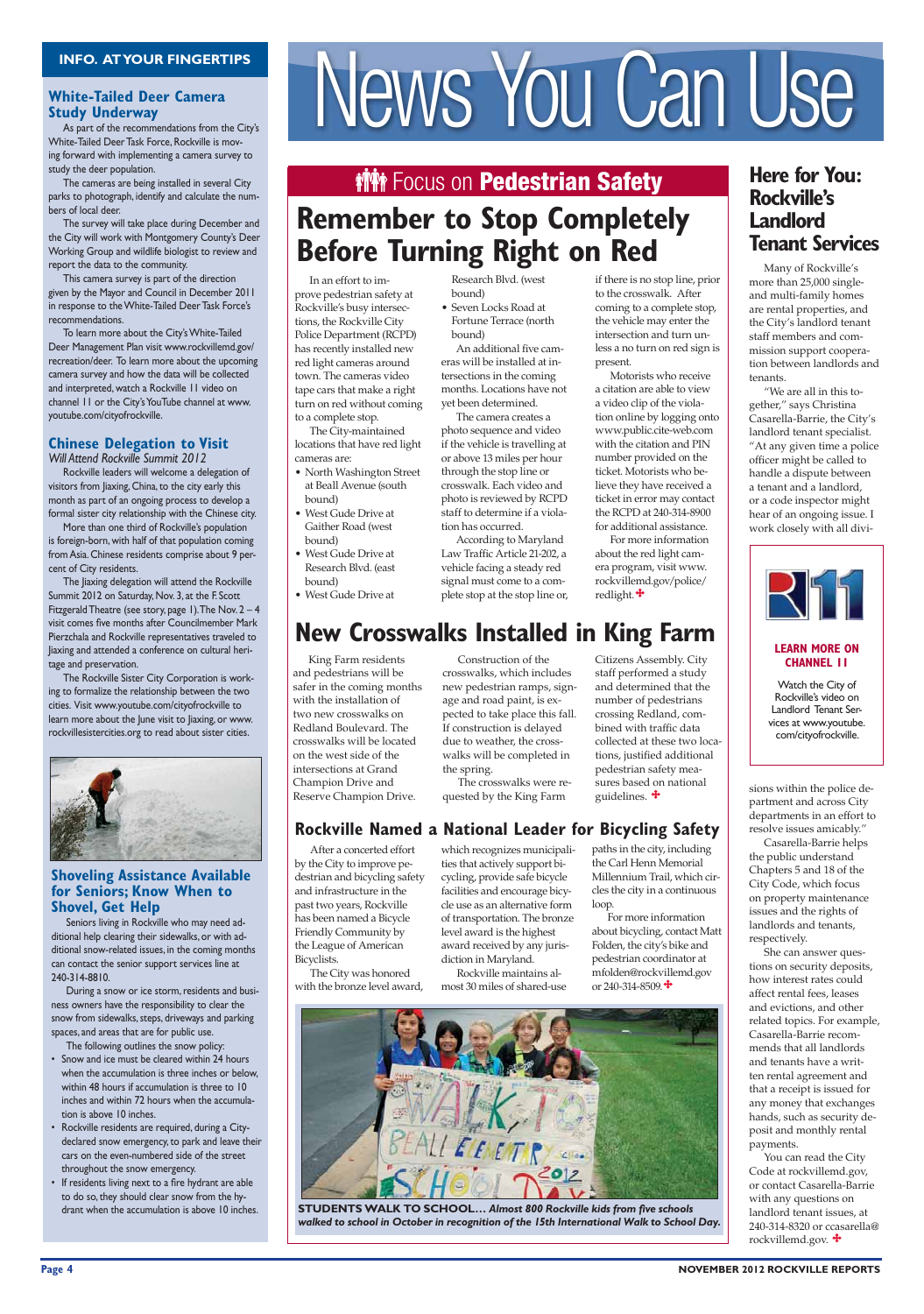# **White-Tailed Deer Camera Study Underway**

In an effort to improve pedestrian safety at Rockville's busy intersections, the Rockville City Police Department (RCPD) has recently installed new red light cameras around town. The cameras video tape cars that make a right turn on red without coming to a complete stop.

The City-maintained locations that have red light cameras are:

- North Washington Street at Beall Avenue (south bound)
- West Gude Drive at Gaither Road (west bound) • West Gude Drive at
- Research Blvd. (east bound)
- West Gude Drive at

She can answer questions on security deposits, how interest rates could affect rental fees, leases and evictions, and other related topics. For example, Casarella-Barrie recommends that all landlords and tenants have a written rental agreement and that a receipt is issued for any money that exchanges hands, such as security deposit and monthly rental payments. You can read the City Code at rockvillemd.gov, or contact Casarella-Barrie with any questions on landlord tenant issues, at 240-314-8320 or ccasarella@ rockvillemd.gov.  $\ddagger$ 

Many of Rockville's more than 25,000 singleand multi-family homes are rental properties, and the City's landlord tenant staff members and commission support cooperation between landlords and tenants.

"We are all in this together," says Christina Casarella-Barrie, the City's landlord tenant specialist. "At any given time a police officer might be called to handle a dispute between a tenant and a landlord, or a code inspector might hear of an ongoing issue. I work closely with all divi-



### **LEARN MORE ON CHANNEL 11**

sions within the police department and across City departments in an effort to resolve issues amicably."

Casarella-Barrie helps the public understand Chapters 5 and 18 of the City Code, which focus on property maintenance issues and the rights of landlords and tenants, respectively.

### **Chinese Delegation to Visit** *Will Attend Rockville Summit 2012*

• Seven Locks Road at Fortune Terrace (north bound)

As part of the recommendations from the City's White-Tailed Deer Task Force, Rockville is moving forward with implementing a camera survey to study the deer population.

The cameras are being installed in several City parks to photograph, identify and calculate the numbers of local deer.

The survey will take place during December and the City will work with Montgomery County's Deer Working Group and wildlife biologist to review and report the data to the community.

This camera survey is part of the direction given by the Mayor and Council in December 2011 in response to the White-Tailed Deer Task Force's recommendations.

To learn more about the City's White-Tailed Deer Management Plan visit www.rockvillemd.gov/ recreation/deer. To learn more about the upcoming camera survey and how the data will be collected and interpreted, watch a Rockville 11 video on channel 11 or the City's YouTube channel at www. youtube.com/cityofrockville.

> Citizens Assembly. City staff performed a study and determined that the number of pedestrians crossing Redland, combined with traffic data collected at these two locations, justified additional pedestrian safety measures based on national guidelines.  $\ddot{\textbf{+}}$

Rockville leaders will welcome a delegation of visitors from Jiaxing, China, to the city early this month as part of an ongoing process to develop a formal sister city relationship with the Chinese city.

More than one third of Rockville's population is foreign-born, with half of that population coming from Asia. Chinese residents comprise about 9 percent of City residents.

> For more information about bicycling, contact Matt Folden, the city's bike and pedestrian coordinator at mfolden@rockvillemd.gov or 240-314-8509. $\div$

# **Here for You: Rockville's Landlord Tenant Services**

The Jiaxing delegation will attend the Rockville Summit 2012 on Saturday, Nov. 3, at the F. Scott Fitzgerald Theatre (see story, page 1). The Nov.  $2 - 4$ visit comes five months after Councilmember Mark Pierzchala and Rockville representatives traveled to Jiaxing and attended a conference on cultural heritage and preservation.

The Rockville Sister City Corporation is working to formalize the relationship between the two cities. Visit www.youtube.com/cityofrockville to learn more about the June visit to Jiaxing, or www. rockvillesistercities.org to read about sister cities.



# **Shoveling Assistance Available** for Seniors; Know When to **Shovel, Get Help**

- Snow and ice must be cleared within 24 hours when the accumulation is three inches or below, within 48 hours if accumulation is three to 10 inches and within 72 hours when the accumulation is above 10 inches.
- Rockville residents are required, during a Citydeclared snow emergency, to park and leave their cars on the even-numbered side of the street throughout the snow emergency.
- If residents living next to a fire hydrant are able to do so, they should clear snow from the hydrant when the accumulation is above 10 inches.

Research Blvd. (west bound)



An additional five cameras will be installed at intersections in the coming months. Locations have not yet been determined.

The camera creates a photo sequence and video if the vehicle is travelling at or above 13 miles per hour through the stop line or crosswalk. Each video and photo is reviewed by RCPD staff to determine if a violation has occurred.

According to Maryland Law Traffic Article 21-202, a vehicle facing a steady red signal must come to a complete stop at the stop line or, if there is no stop line, prior to the crosswalk. After coming to a complete stop, the vehicle may enter the intersection and turn unless a no turn on red sign is present.

Motorists who receive a citation are able to view a video clip of the violation online by logging onto www.public.cite-web.com with the citation and PIN number provided on the ticket. Motorists who believe they have received a ticket in error may contact the RCPD at 240-314-8900 for additional assistance.

For more information about the red light camera program, visit www. rockvillemd.gov/police/ redlight.

# **New Crosswalks Installed in King Farm**

 King Farm residents and pedestrians will be safer in the coming months with the installation of two new crosswalks on Redland Boulevard. The crosswalks will be located on the west side of the intersections at Grand Champion Drive and Reserve Champion Drive.

 After a concerted effort by the City to improve pedestrian and bicycling safety and infrastructure in the past two years, Rockville has been named a Bicycle Friendly Community by the League of American Bicyclists.

 The City was honored with the bronze level award,

 Construction of the crosswalks, which includes new pedestrian ramps, signage and road paint, is expected to take place this fall. If construction is delayed due to weather, the crosswalks will be completed in the spring.

 The crosswalks were requested by the King Farm

# **Rockville Named a National Leader for Bicycling Safety**

which recognizes municipalities that actively support bicycling, provide safe bicycle facilities and encourage bicycle use as an alternative form of transportation. The bronze level award is the highest award received by any juris-

diction in Maryland.

 Rockville maintains almost 30 miles of shared-use paths in the city, including the Carl Henn Memorial Millennium Trail, which circles the city in a continuous loop.

**STUDENTS WALK TO SCHOOL…** *Almost 800 Rockville kids from five schools walked to school in October in recognition of the 15th International Walk to School Day.*

#### **Page 4** NOVEMBER 2012 ROCKVILLE REPORTS

Seniors living in Rockville who may need additional help clearing their sidewalks, or with additional snow-related issues, in the coming months can contact the senior support services line at 240-314-8810.

During a snow or ice storm, residents and business owners have the responsibility to clear the snow from sidewalks, steps, driveways and parking

# INFO. AT YOUR FINGERTIPS<br>/hite-Tailed Deer Camera<br>Aspart of the commendations from the City's

# **Wirk Focus on Pedestrian Safety**

# **Remember to Stop Completely Before Turning Right on Red**

spaces, and areas that are for public use.

The following outlines the snow policy:

Watch the City of Rockville's video on Landlord Tenant Services at www.youtube. com/cityofrockville.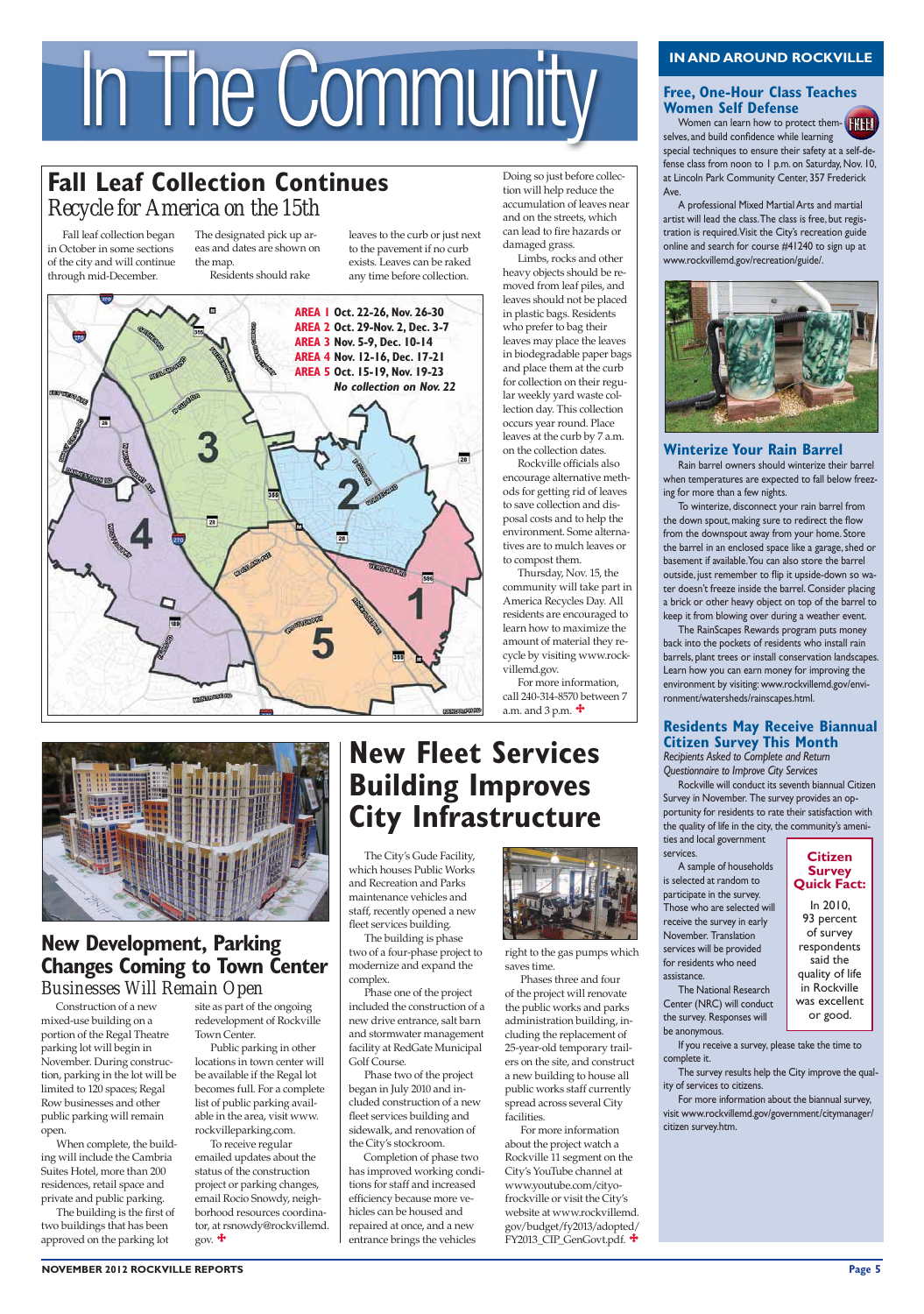#### **NOVEMBER 2012 ROCKVILLE REPORTS 0AGE**





 The City's Gude Facility, which houses Public Works and Recreation and Parks maintenance vehicles and staff, recently opened a new fleet services building.

 The building is phase two of a four-phase project to modernize and expand the complex.

 Phase one of the project included the construction of a new drive entrance, salt barn



and stormwater management facility at RedGate Municipal Golf Course.

Women can learn how to protect themselves, and build confidence while learning special techniques to ensure their safety at a self-defense class from noon to 1 p.m. on Saturday, Nov. 10, at Lincoln Park Community Center, 357 Frederick Ave.

 Phase two of the project began in July 2010 and included construction of a new fleet services building and sidewalk, and renovation of the City's stockroom.

Completion of phase two has improved working conditions for staff and increased efficiency because more vehicles can be housed and repaired at once, and a new entrance brings the vehicles

A professional Mixed Martial Arts and martial artist will lead the class. The class is free, but registration is required. Visit the City's recreation guide online and search for course #41240 to sign up at www.rockvillemd.gov/recreation/guide/.



# **Winterize Your Rain Barrel**

Rain barrel owners should winterize their barrel when temperatures are expected to fall below freezing for more than a few nights.

# IN AND AROUND ROCKVILLE<br> **IN AND AROUND ROCKVILLE**<br>
Women Self Defense<br>
Women Can learn how to protect them.

# **Fall Leaf Collection Continues** *Recycle for America on the 15th*

To winterize, disconnect your rain barrel from the down spout, making sure to redirect the flow from the downspout away from your home. Store the barrel in an enclosed space like a garage, shed or basement if available. You can also store the barrel outside, just remember to flip it upside-down so water doesn't freeze inside the barrel. Consider placing a brick or other heavy object on top of the barrel to keep it from blowing over during a weather event.

The RainScapes Rewards program puts money back into the pockets of residents who install rain barrels, plant trees or install conservation landscapes. Learn how you can earn money for improving the environment by visiting: www.rockvillemd.gov/environment/watersheds/rainscapes.html.

# **Residents May Receive Biannual Citizen Survey This Month**

# **New Development, Parking Changes Coming to Town Center** *Businesses Will Remain Open*

*Recipients Asked to Complete and Return Questionnaire to Improve City Services* 

 To receive regular emailed updates about the status of the construction project or parking changes, email Rocio Snowdy, neighborhood resources coordinator, at rsnowdy@rockvillemd. gov.  $\ddot{\mathbf{\tau}}$ 

Rockville will conduct its seventh biannual Citizen Survey in November. The survey provides an opportunity for residents to rate their satisfaction with the quality of life in the city, the community's ameni-

ties and local government services.

#### A sample of households is selected at random to participate in the survey. Those who are selected will receive the survey in early November. Translation services will be provided for residents who need assistance. The National Research

Center (NRC) will conduct the survey. Responses will

be anonymous.

If you receive a survey, please take the time to complete it.

The survey results help the City improve the quality of services to citizens.

For more information about the biannual survey, visit www.rockvillemd.gov/government/citymanager/ citizen survey.htm.

Fall leaf collection began in October in some sections of the city and will continue through mid-December.

The designated pick up areas and dates are shown on the map. Residents should rake

> right to the gas pumps which saves time.

> Phases three and four of the project will renovate the public works and parks administration building, in-

# **Free, One-Hour Class Teaches Women Self Defense**

cluding the replacement of 25-year-old temporary trailers on the site, and construct a new building to house all public works staff currently spread across several City facilities.

 For more information about the project watch a Rockville 11 segment on the City's YouTube channel at www.youtube.com/cityofrockville or visit the City's website at www.rockvillemd. gov/budget/fy2013/adopted/ FY2013\_CIP\_GenGovt.pdf.

Construction of a new mixed-use building on a

portion of the Regal Theatre parking lot will begin in November. During construction, parking in the lot will be limited to 120 spaces; Regal Row businesses and other public parking will remain open.

 When complete, the building will include the Cambria Suites Hotel, more than 200 residences, retail space and private and public parking. The building is the first of two buildings that has been approved on the parking lot

site as part of the ongoing redevelopment of Rockville

# **New Fleet Services Building Improves City Infrastructure**

Town Center.

 Public parking in other locations in town center will be available if the Regal lot becomes full. For a complete list of public parking available in the area, visit www. rockvilleparking.com.

leaves to the curb or just next to the pavement if no curb exists. Leaves can be raked any time before collection.

Doing so just before collection will help reduce the accumulation of leaves near and on the streets, which can lead to fire hazards or

damaged grass.

Limbs, rocks and other heavy objects should be removed from leaf piles, and leaves should not be placed in plastic bags. Residents who prefer to bag their leaves may place the leaves in biodegradable paper bags and place them at the curb for collection on their regular weekly yard waste collection day. This collection occurs year round. Place leaves at the curb by 7 a.m. on the collection dates. Rockville officials also encourage alternative methods for getting rid of leaves to save collection and disposal costs and to help the environment. Some alternatives are to mulch leaves or

to compost them.

Thursday, Nov. 15, the community will take part in America Recycles Day. All residents are encouraged to learn how to maximize the amount of material they recycle by visiting www.rock-

villemd.gov.

a.m. and 3 p.m.  $\triangleq$ 

For more information, call 240-314-8570 between 7

## **Citizen Survey Quick Fact:**

In 2010, 93 percent of survey respondents said the quality of life in Rockville was excellent or good.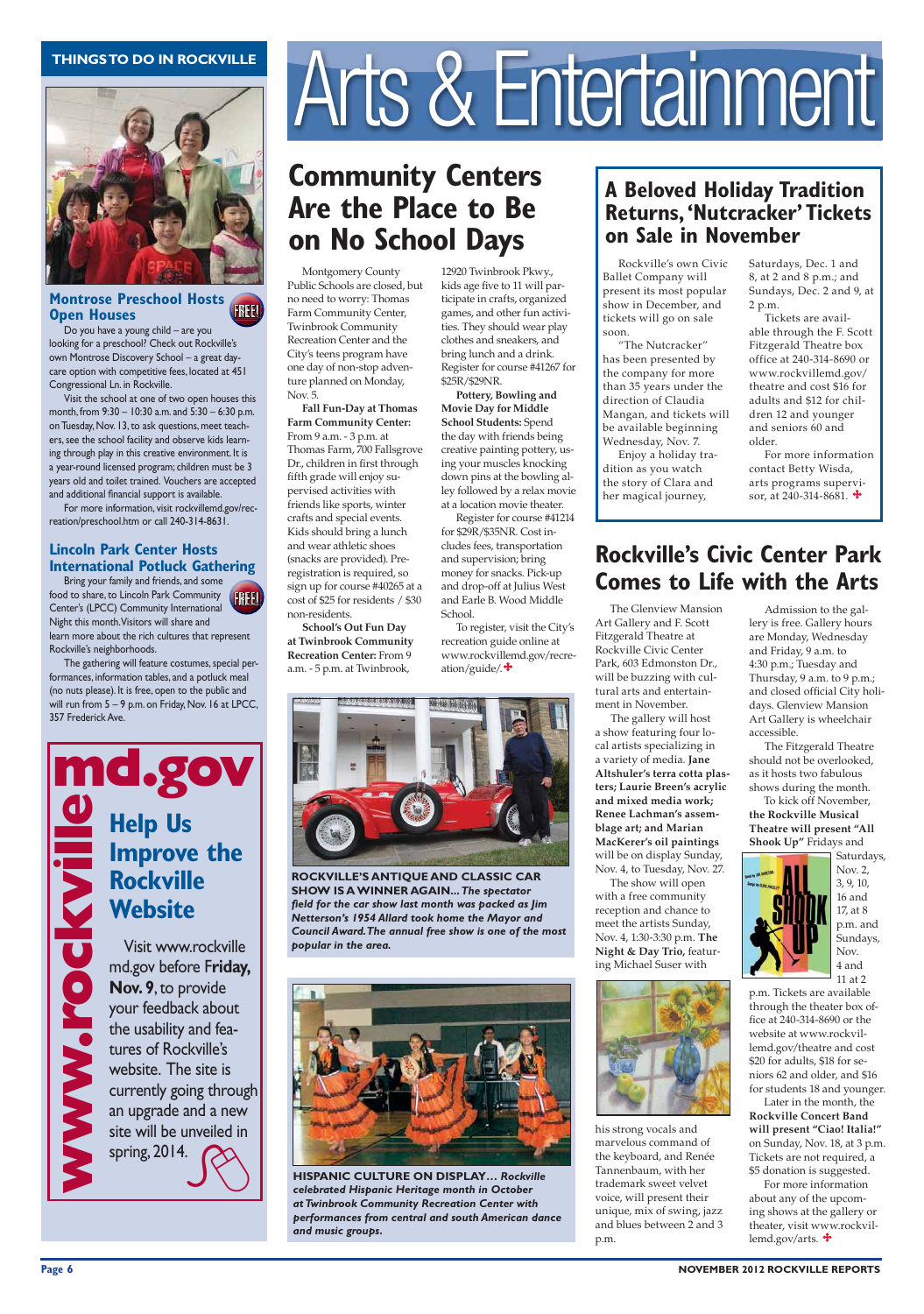

#### **Montrose Preschool Hosts Open Houses FREE!**

The Glenview Mansion Art Gallery and F. Scott Fitzgerald Theatre at Rockville Civic Center Park, 603 Edmonston Dr., will be buzzing with cultural arts and entertainment in November.

 The gallery will host a show featuring four local artists specializing in a variety of media. **Jane** Altshuler's terra cotta plasters; Laurie Breen's acrylic and mixed media work; Renee Lachman's assemblage art; and Marian **MacKerer's oil paintings** will be on display Sunday, Nov. 4, to Tuesday, Nov. 27.

The show will open with a free community reception and chance to meet the artists Sunday, Nov. 4, 1:30-3:30 p.m. **The Night & Day Trio, featur**ing Michael Suser with



his strong vocals and marvelous command of the keyboard, and Renée Tannenbaum, with her trademark sweet velvet voice, will present their unique, mix of swing, jazz and blues between 2 and 3 p.m.

**Fall Fun-Day at Thomas Farm Community Center:** From 9 a.m. - 3 p.m. at Thomas Farm, 700 Fallsgrove Dr., children in first through fifth grade will enjoy supervised activities with friends like sports, winter crafts and special events. Kids should bring a lunch and wear athletic shoes (snacks are provided). Preregistration is required, so sign up for course #40265 at a cost of \$25 for residents / \$30 non-residents.

 Rockville's own Civic Ballet Company will present its most popular show in December, and tickets will go on sale soon.

**5**Chool's Out Fun Day at Twinbrook Community **Recreation Center:** From 9 a.m. - 5 p.m. at Twinbrook,

 "The Nutcracker" has been presented by the company for more than 35 years under the direction of Claudia Mangan, and tickets will be available beginning Wednesday, Nov. 7.

 Enjoy a holiday tradition as you watch the story of Clara and her magical journey,

Pottery, Bowling and **Movie Day for Middle 5chool Students: Spend** the day with friends being creative painting pottery, using your muscles knocking down pins at the bowling alley followed by a relax movie at a location movie theater.

Montgomery County Public Schools are closed, but no need to worry: Thomas Farm Community Center, Twinbrook Community Recreation Center and the City's teens program have one day of non-stop adventure planned on Monday, Nov. 5.

> To kick off November, the Rockville Musical Theatre will present "All **Shook Up"** Fridays and

website at www.rockvillemd.gov/theatre and cost \$20 for adults, \$18 for seniors 62 and older, and \$16 for students 18 and younger. Later in the month, the **Rockville Concert Band will present "Ciao! Italia!"** on Sunday, Nov. 18, at 3 p.m. Tickets are not required, a \$5 donation is suggested. For more information about any of the upcoming shows at the gallery or theater, visit www.rockvillemd.gov/arts.

#### **Page 6** NOVEMBER 2012 ROCKVILLE REPORTS

12920 Twinbrook Pkwy., kids age five to 11 will participate in crafts, organized games, and other fun activities. They should wear play clothes and sneakers, and bring lunch and a drink. Register for course #41267 for \$25R/\$29NR.

Register for course #41214 for \$29R/\$35NR. Cost includes fees, transportation and supervision; bring money for snacks. Pick-up and drop-off at Julius West and Earle B. Wood Middle School.

To register, visit the City's recreation guide online at www.rockvillemd.gov/recreation/guide/.

 For more information contact Betty Wisda, arts programs supervisor, at 240-314-8681.  $\ddagger$ 

# **Rockville's Civic Center Park Comes to Life with the Arts**

 Admission to the gallery is free. Gallery hours are Monday, Wednesday and Friday, 9 a.m. to 4:30 p.m.; Tuesday and Thursday, 9 a.m. to 9 p.m.; and closed official City holidays. Glenview Mansion Art Gallery is wheelchair accessible.

Bring your family and friends, and some food to share, to Lincoln Park Community Center's (LPCC) Community International Night this month. Visitors will share and learn more about the rich cultures that represent Rockville's neighborhoods. FREE!

> The Fitzgerald Theatre should not be overlooked, as it hosts two fabulous shows during the month.



Nov. 2, 3, 9, 10, 16 and 17, at 8 p.m. and Sundays, Nov. 4 and 11 at 2

p.m. Tickets are available through the theater box office at 240-314-8690 or the

**HISPANIC CULTURE ON DISPLAY…** *Rockville celebrated Hispanic Heritage month in October at Twinbrook Community Recreation Center with performances from central and south American dance and music groups.*

Do you have a young child – are you looking for a preschool? Check out Rockville's own Montrose Discovery School – a great daycare option with competitive fees, located at 451 Congressional Ln. in Rockville.

Visit the school at one of two open houses this month, from 9:30 – 10:30 a.m. and 5:30 – 6:30 p.m. on Tuesday, Nov. 13, to ask questions, meet teachers, see the school facility and observe kids learning through play in this creative environment. It is a year-round licensed program; children must be 3 years old and toilet trained. Vouchers are accepted and additional financial support is available.

For more information, visit rockvillemd.gov/recreation/preschool.htm or call 240-314-8631.

## **Lincoln Park Center Hosts International Potluck Gathering**

The gathering will feature costumes, special performances, information tables, and a potluck meal (no nuts please). It is free, open to the public and will run from 5 – 9 p.m. on Friday, Nov. 16 at LPCC, 357 Frederick Ave.

# **Help Us Improve the Rockville Website**



**ROCKVILLE'S ANTIQUE AND CLASSIC CAR SHOW IS A WINNER AGAIN... The spectator** *field for the car show last month was packed as Jim Netterson's 1954 Allard took home the Mayor and Council Award. The annual free show is one of the most popular in the area.*



# **A Beloved Holiday Tradition Returns, 'Nutcracker' Tickets on Sale in November**

Saturdays, Dec. 1 and 8, at 2 and 8 p.m.; and Sundays, Dec. 2 and 9, at 2 p.m.

 Tickets are available through the F. Scott Fitzgerald Theatre box office at 240-314-8690 or www.rockvillemd.gov/ theatre and cost \$16 for adults and \$12 for children 12 and younger and seniors 60 and older.

Visit www.rockville md.gov before F**riday, Nov. 9, to provide** your feedback about

# THINGSTO DO IN ROCKVILLE<br>
Arts & Entertainment

# **Community Centers Are the Place to Be On No School Days**

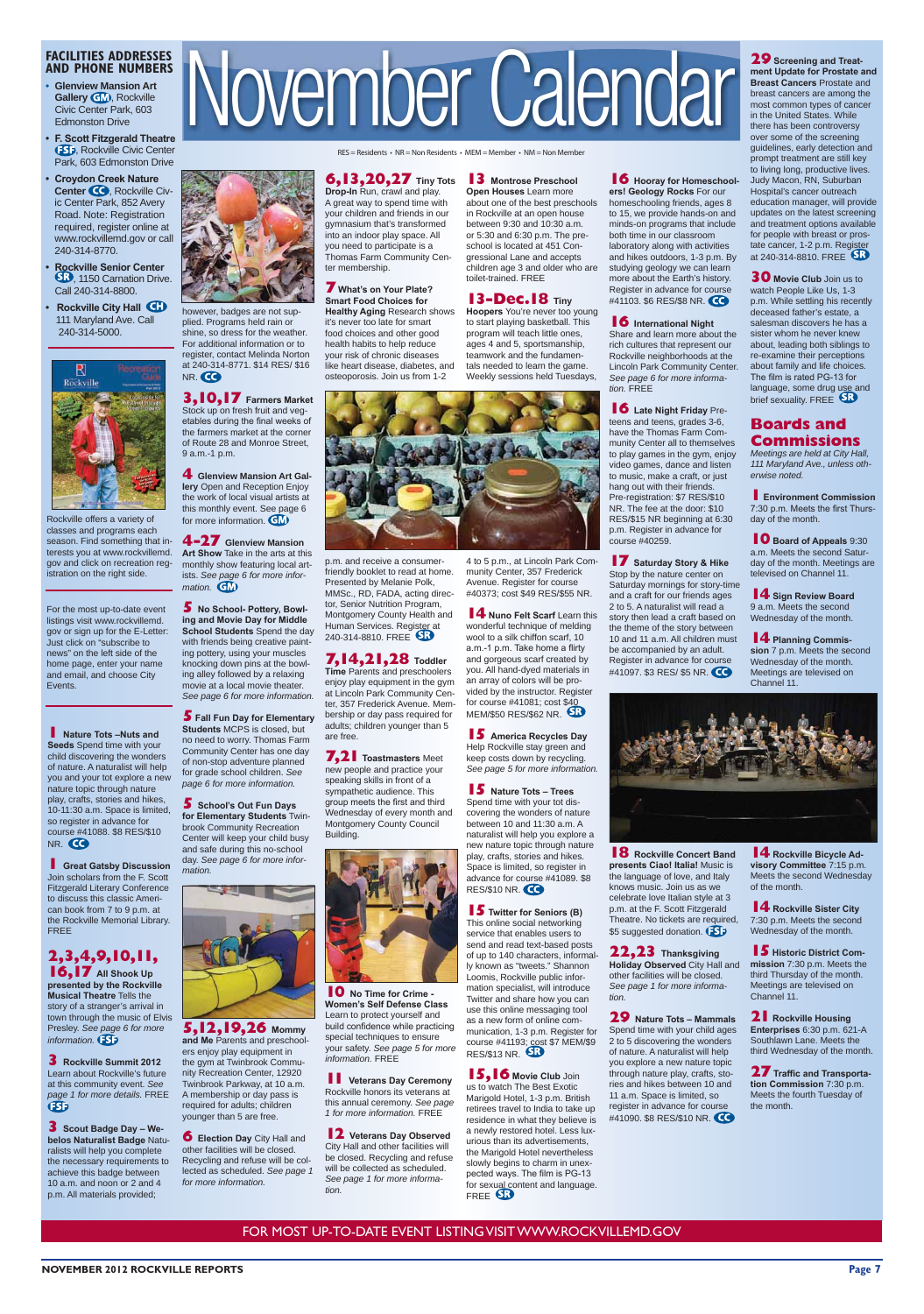For the most up-to-date event listings visit www.rockvillemd. gov or sign up for the E-Letter: Just click on "subscribe to news" on the left side of the home page, enter your name and email, and choose City Events.

**1 Nature Tots -Nuts and Seeds** Spend time with your child discovering the wonders of nature. A naturalist will help you and your tot explore a new nature topic through nature play, crafts, stories and hikes, 10-11:30 a.m. Space is limited, so register in advance for course #41088. \$8 RES/\$10 NR. CO

### **FACILITIES ADDRESSES AND PHONE NUMBERS**

- **s Glenview Mansion Art Gallery GM**, Rockville Civic Center Park, 603 Edmonston Drive
- **F. Scott Fitzgerald Theatre ESP, Rockville Civic Center** Park, 603 Edmonston Drive
- **Croydon Creek Nature** Center **CO**, Rockville Civic Center Park, 852 Avery Road. Note: Registration required, register online at www.rockvillemd.gov or call 240-314-8770.
- **Rockville Senior Center** , 1150 Carnation Drive. Call 240-314-8800.
- **Rockville City Hall CD**  111 Maryland Ave. Call 240-314-5000.

**1 Great Gatsby Discussion** Join scholars from the F. Scott Fitzgerald Literary Conference to discuss this classic American book from 7 to 9 p.m. at the Rockville Memorial Library. FREE

FOR MOST UP-TO-DATE EVENT LISTING VISIT WWW.ROCKVILLEMD.GOV

**NOVEMBER 2012 ROCKVILLE REPORTS Page 7** 

**16,17** All Shook Up presented by the Rockville **Musical Theatre Tells the** story of a stranger's arrival in town through the music of Elvis Presley. *See page 6 for more information.*



 $RES = Residents - NR = Non Residents - MEM = Member - NM = Non Member$ 

# **6,13,20,27** Tiny Tots 13 Montrose Preschool

Rockville offers a variety of classes and programs each season. Find something that interests you at www.rockvillemd. gov and click on recreation registration on the right side.

**3** Scout Badge Day - We**belos Naturalist Badge Natu**ralists will help you complete the necessary requirements to achieve this badge between 10 a.m. and noon or 2 and 4 p.m. All materials provided;

**3,10,17** Farmers Market Stock up on fresh fruit and vegetables during the final weeks of the farmers market at the corner of Route 28 and Monroe Street,

**4 Glenview Mansion Art Gallery** Open and Reception Enjoy the work of local visual artists at this monthly event. See page 6 for more information. **GM** 

# **2,3,4,9,10,11,**

**5** No School- Pottery, Bowling and Movie Day for Middle **School Students** Spend the day with friends being creative painting pottery, using your muscles knocking down pins at the bowling alley followed by a relaxing movie at a local movie theater. *See page 6 for more information.* **5** Fall Fun Day for Elementary **Students MCPS** is closed, but no need to worry. Thomas Farm Community Center has one day of non-stop adventure planned for grade school children. *See page 6 for more information.* **5** School's Out Fun Days **for Elementary Students Twin**brook Community Recreation Center will keep your child busy and safe during this no-school day. *See page 6 for more infor-*

NR.

**5,12,19,20** Mommy and Me Parents and preschoolers enjoy play equipment in the gym at Twinbrook Community Recreation Center, 12920 Twinbrook Parkway, at 10 a.m. A membership or day pass is required for adults; children younger than 5 are free.

**6 Election Day** City Hall and other facilities will be closed. Recycling and refuse will be collected as scheduled. *See page 1 for more information.*

**Drop-In** Run, crawl and play. A great way to spend time with your children and friends in our gymnasium that's transformed into an indoor play space. All you need to participate is a Thomas Farm Community Center membership.

#### **7** What's on Your Plate? **Smart Food Choices for**

**Healthy Aging Research shows** it's never too late for smart food choices and other good health habits to help reduce your risk of chronic diseases like heart disease, diabetes, and osteoporosis. Join us from 1-2

p.m. and receive a consumer-.<br>friendly booklet to read at home. Presented by Melanie Polk, MMSc., RD, FADA, acting director, Senior Nutrition Program, Montgomery County Health and Human Services. Register at 240-314-8810. FREE SP



# **7,14,21,28 Toddler**

however, badges are not supplied. Programs held rain or shine, so dress for the weather. For additional information or to register, contact Melinda Norton at 240-314-8771. \$14 RES/ \$16

> **Time Parents and preschoolers** enjoy play equipment in the gym at Lincoln Park Community Center, 357 Frederick Avenue. Membership or day pass required for adults; children younger than 5 are free.

9 a.m.-1 p.m.

mation. **GM** 

**7,21** Toastmasters Meet new people and practice your speaking skills in front of a sympathetic audience. This group meets the first and third Wednesday of every month and Montgomery County Council Building.



**Women's Self Defense Class** Learn to protect yourself and

**10** No Time for Crime build confidence while practicing special techniques to ensure your safety. *See page 5 for more information.* FREE

**11 Veterans Day Ceremony** Rockville honors its veterans at this annual ceremony. *See page 1 for more information.* FREE

**4-27 Glenview Mansion Art Show Take in the arts at this** monthly show featuring local artists. *See page 6 for more infor-*

> **12** Veterans Day Observed City Hall and other facilities will be closed. Recycling and refuse will be collected as scheduled. *See page 1 for more information.*

**Open Houses** Learn more about one of the best preschools in Rockville at an open house between 9:30 and 10:30 a.m. or 5:30 and 6:30 p.m. The preschool is located at 451 Congressional Lane and accepts children age 3 and older who are toilet-trained. FREE

**Hoopers** You're never too young to start playing basketball. This program will teach little ones, ages 4 and 5, sportsmanship, teamwork and the fundamentals needed to learn the game. Weekly sessions held Tuesdays,

**5** America Recycles Day Help Rockville stay green and keep costs down by recycling. *See page 5 for more information.*

**15** Nature Tots – Trees Spend time with your tot discovering the wonders of nature between 10 and 11:30 a.m. A naturalist will help you explore a new nature topic through nature play, crafts, stories and hikes. Space is limited, so register in advance for course #41089. \$8 **RES/\$10 NR. CO** 

*mation.*



**15** Twitter for Seniors (B) This online social networking service that enables users to send and read text-based posts of up to 140 characters, informally known as "tweets." Shannon Loomis, Rockville public information specialist, will introduce Twitter and share how you can use this online messaging tool as a new form of online communication, 1-3 p.m. Register for course #41193; cost \$7 MEM/\$9 RES/\$13 NR.

**14** Nuno Felt Scarf Learn this

**3** Rockville Summit 2012 Learn about Rockville's future at this community event. *See page 1 for more details.* FREE  $\mathbf G$ 

**15,16** Movie Club Join us to watch The Best Exotic Marigold Hotel, 1-3 p.m. British retirees travel to India to take up residence in what they believe is a newly restored hotel. Less luxurious than its advertisements, the Marigold Hotel nevertheless slowly begins to charm in unexpected ways. The film is PG-13 for sexual content and language. FREE

**16** Hooray for Homeschool**ers! Geology Rocks For our** homeschooling friends, ages 8 to 15, we provide hands-on and minds-on programs that include both time in our classroom laboratory along with activities and hikes outdoors, 1-3 p.m. By studying geology we can learn more about the Earth's history.

**16** Late Night Friday Preteens and teens, grades 3-6, have the Thomas Farm Community Center all to themselves to play games in the gym, enjoy video games, dance and listen to music, make a craft, or just hang out with their friends. Pre-registration: \$7 RES/\$10 NR. The fee at the door: \$10 RES/\$15 NR beginning at 6:30 p.m. Register in advance for course #40259.

**17** Saturday Story & Hike Stop by the nature center on Saturday mornings for story-time and a craft for our friends ages 2 to 5. A naturalist will read a story then lead a craft based on the theme of the story between 10 and 11 a.m. All children must be accompanied by an adult. Register in advance for course #41097. \$3 RES/ \$5 NR.

# **29** Screening and Treat-

**22,23** Thanksgiving **Holiday Observed City Hall and** other facilities will be closed. *See page 1 for more information.*

**29** Nature Tots - Mammals Spend time with your child ages 2 to 5 discovering the wonders of nature. A naturalist will help you explore a new nature topic through nature play, crafts, stories and hikes between 10 and 11 a.m. Space is limited, so register in advance for course #41090. \$8 RES/\$10 NR.

ment Update for Prostate and **Breast Cancers Prostate and** breast cancers are among the most common types of cancer in the United States. While there has been controversy over some of the screening guidelines, early detection and prompt treatment are still key to living long, productive lives. Judy Macon, RN, Suburban Hospital's cancer outreach education manager, will provide updates on the latest screening and treatment options available for people with breast or prostate cancer, 1-2 p.m. Register at 240-314-8810. FREE

**30** Movie Club Join us to watch People Like Us, 1-3 p.m. While settling his recently deceased father's estate, a salesman discovers he has a sister whom he never knew about, leading both siblings to re-examine their perceptions about family and life choices. The film is rated PG-13 for language, some drug use and brief sexuality. FREE

**1Environment Commission** 7:30 p.m. Meets the first Thursday of the month.

**10** Board of Appeals 9:30 a.m. Meets the second Saturday of the month. Meetings are televised on Channel 11.

**14** Sign Review Board 9 a.m. Meets the second Wednesday of the month.

**14** Planning Commis**sion** 7 p.m. Meets the second Wednesday of the month. Meetings are televised on Channel 11.



**18** Rockville Concert Band presents Ciao! Italia! Music is the language of love, and Italy knows music. Join us as we celebrate love Italian style at 3 p.m. at the F. Scott Fitzgerald Theatre. No tickets are required, \$5 suggested donation. **[SD** 

**14** Rockville Bicycle Advisory Committee 7:15 p.m. Meets the second Wednesday of the month.

**14** Rockville Sister City 7:30 p.m. Meets the second Wednesday of the month.

**15** Historic District Com**mission** 7:30 p.m. Meets the third Thursday of the month. Meetings are televised on Channel 11.

**21** Rockville Housing

**Enterprises** 6:30 p.m. 621-A Southlawn Lane. Meets the third Wednesday of the month.

**27** Traffic and Transporta**tion Commission 7:30 p.m.** Meets the fourth Tuesday of the month.

### **13-Dec.18 Tiny**

4 to 5 p.m., at Lincoln Park Community Center, 357 Frederick Avenue. Register for course #40373; cost \$49 RES/\$55 NR.

wonderful technique of melding wool to a silk chiffon scarf, 10 a.m.-1 p.m. Take home a flirty and gorgeous scarf created by you. All hand-dyed materials in an array of colors will be provided by the instructor. Register for course #41081; cost \$40

MEM/\$50 RES/\$62 NR.

Register in advance for course #41103. \$6 RES/\$8 NR. **16** International Night Share and learn more about the rich cultures that represent our Rockville neighborhoods at the Lincoln Park Community Center. *See page 6 for more information.* FREE

#### **Boards and Commissions** *Meetings are held at City Hall,*

*111 Maryland Ave., unless otherwise noted.*